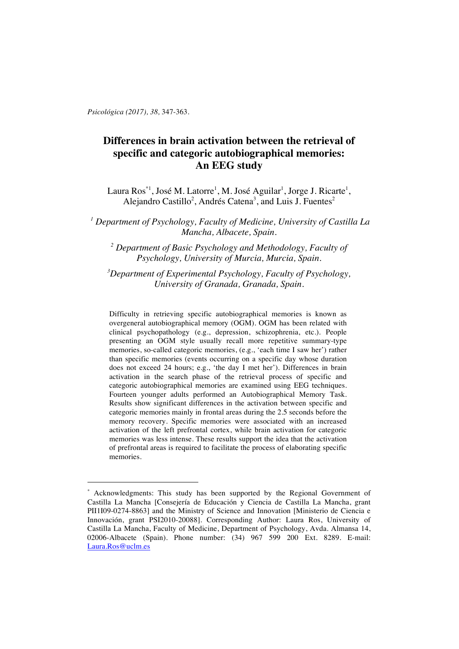*Psicológica (2017), 38,* 347-363.

 $\overline{a}$ 

# **Differences in brain activation between the retrieval of specific and categoric autobiographical memories: An EEG study**

Laura Ros $^{*1}$ , José M. Latorre<sup>1</sup>, M. José Aguilar<sup>1</sup>, Jorge J. Ricarte<sup>1</sup>, Alejandro Castillo<sup>2</sup>, Andrés Catena<sup>3</sup>, and Luis J. Fuentes<sup>2</sup>

*<sup>1</sup> Department of Psychology, Faculty of Medicine, University of Castilla La Mancha, Albacete, Spain.*

*<sup>2</sup> Department of Basic Psychology and Methodology, Faculty of Psychology, University of Murcia, Murcia, Spain.*

*3 Department of Experimental Psychology, Faculty of Psychology, University of Granada, Granada, Spain.*

Difficulty in retrieving specific autobiographical memories is known as overgeneral autobiographical memory (OGM). OGM has been related with clinical psychopathology (e.g., depression, schizophrenia, etc.). People presenting an OGM style usually recall more repetitive summary-type memories, so-called categoric memories, (e.g., 'each time I saw her') rather than specific memories (events occurring on a specific day whose duration does not exceed 24 hours; e.g., 'the day I met her'). Differences in brain activation in the search phase of the retrieval process of specific and categoric autobiographical memories are examined using EEG techniques. Fourteen younger adults performed an Autobiographical Memory Task. Results show significant differences in the activation between specific and categoric memories mainly in frontal areas during the 2.5 seconds before the memory recovery. Specific memories were associated with an increased activation of the left prefrontal cortex, while brain activation for categoric memories was less intense. These results support the idea that the activation of prefrontal areas is required to facilitate the process of elaborating specific memories.

Acknowledgments: This study has been supported by the Regional Government of Castilla La Mancha [Consejería de Educación y Ciencia de Castilla La Mancha, grant PII1I09-0274-8863] and the Ministry of Science and Innovation [Ministerio de Ciencia e Innovación, grant PSI2010-20088]. Corresponding Author: Laura Ros, University of Castilla La Mancha, Faculty of Medicine, Department of Psychology, Avda. Almansa 14, 02006-Albacete (Spain). Phone number: (34) 967 599 200 Ext. 8289. E-mail: Laura.Ros@uclm.es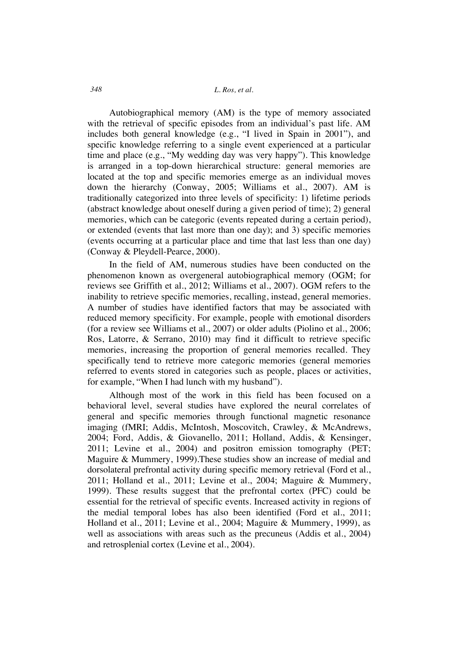### *348 L. Ros, et al.*

Autobiographical memory (AM) is the type of memory associated with the retrieval of specific episodes from an individual's past life. AM includes both general knowledge (e.g., "I lived in Spain in 2001"), and specific knowledge referring to a single event experienced at a particular time and place (e.g., "My wedding day was very happy"). This knowledge is arranged in a top-down hierarchical structure: general memories are located at the top and specific memories emerge as an individual moves down the hierarchy (Conway, 2005; Williams et al., 2007). AM is traditionally categorized into three levels of specificity: 1) lifetime periods (abstract knowledge about oneself during a given period of time); 2) general memories, which can be categoric (events repeated during a certain period), or extended (events that last more than one day); and 3) specific memories (events occurring at a particular place and time that last less than one day) (Conway & Pleydell-Pearce, 2000).

In the field of AM, numerous studies have been conducted on the phenomenon known as overgeneral autobiographical memory (OGM; for reviews see Griffith et al., 2012; Williams et al., 2007). OGM refers to the inability to retrieve specific memories, recalling, instead, general memories. A number of studies have identified factors that may be associated with reduced memory specificity. For example, people with emotional disorders (for a review see Williams et al., 2007) or older adults (Piolino et al., 2006; Ros, Latorre, & Serrano, 2010) may find it difficult to retrieve specific memories, increasing the proportion of general memories recalled. They specifically tend to retrieve more categoric memories (general memories referred to events stored in categories such as people, places or activities, for example, "When I had lunch with my husband").

Although most of the work in this field has been focused on a behavioral level, several studies have explored the neural correlates of general and specific memories through functional magnetic resonance imaging (fMRI; Addis, McIntosh, Moscovitch, Crawley, & McAndrews, 2004; Ford, Addis, & Giovanello, 2011; Holland, Addis, & Kensinger, 2011; Levine et al., 2004) and positron emission tomography (PET; Maguire & Mummery, 1999).These studies show an increase of medial and dorsolateral prefrontal activity during specific memory retrieval (Ford et al., 2011; Holland et al., 2011; Levine et al., 2004; Maguire & Mummery, 1999). These results suggest that the prefrontal cortex (PFC) could be essential for the retrieval of specific events. Increased activity in regions of the medial temporal lobes has also been identified (Ford et al., 2011; Holland et al., 2011; Levine et al., 2004; Maguire & Mummery, 1999), as well as associations with areas such as the precuneus (Addis et al., 2004) and retrosplenial cortex (Levine et al., 2004).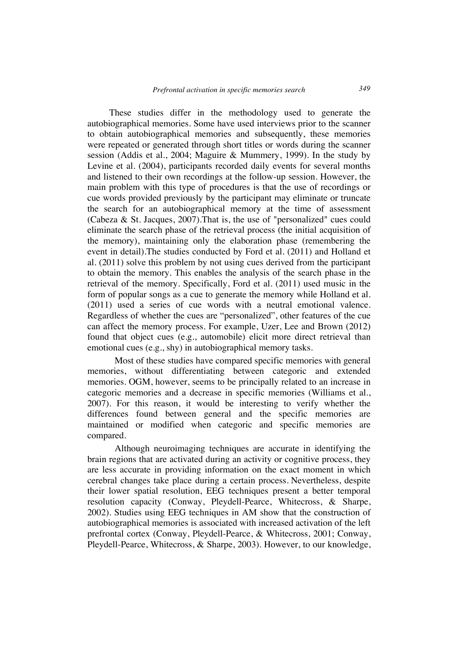These studies differ in the methodology used to generate the autobiographical memories. Some have used interviews prior to the scanner to obtain autobiographical memories and subsequently, these memories were repeated or generated through short titles or words during the scanner session (Addis et al., 2004; Maguire & Mummery, 1999). In the study by Levine et al. (2004), participants recorded daily events for several months and listened to their own recordings at the follow-up session. However, the main problem with this type of procedures is that the use of recordings or cue words provided previously by the participant may eliminate or truncate the search for an autobiographical memory at the time of assessment (Cabeza & St. Jacques, 2007).That is, the use of "personalized" cues could eliminate the search phase of the retrieval process (the initial acquisition of the memory), maintaining only the elaboration phase (remembering the event in detail).The studies conducted by Ford et al. (2011) and Holland et al. (2011) solve this problem by not using cues derived from the participant to obtain the memory. This enables the analysis of the search phase in the retrieval of the memory. Specifically, Ford et al. (2011) used music in the form of popular songs as a cue to generate the memory while Holland et al. (2011) used a series of cue words with a neutral emotional valence. Regardless of whether the cues are "personalized", other features of the cue can affect the memory process. For example, Uzer, Lee and Brown (2012) found that object cues (e.g., automobile) elicit more direct retrieval than emotional cues (e.g., shy) in autobiographical memory tasks.

Most of these studies have compared specific memories with general memories, without differentiating between categoric and extended memories. OGM, however, seems to be principally related to an increase in categoric memories and a decrease in specific memories (Williams et al., 2007). For this reason, it would be interesting to verify whether the differences found between general and the specific memories are maintained or modified when categoric and specific memories are compared.

Although neuroimaging techniques are accurate in identifying the brain regions that are activated during an activity or cognitive process, they are less accurate in providing information on the exact moment in which cerebral changes take place during a certain process. Nevertheless, despite their lower spatial resolution, EEG techniques present a better temporal resolution capacity (Conway, Pleydell-Pearce, Whitecross, & Sharpe, 2002). Studies using EEG techniques in AM show that the construction of autobiographical memories is associated with increased activation of the left prefrontal cortex (Conway, Pleydell-Pearce, & Whitecross, 2001; Conway, Pleydell-Pearce, Whitecross, & Sharpe, 2003). However, to our knowledge,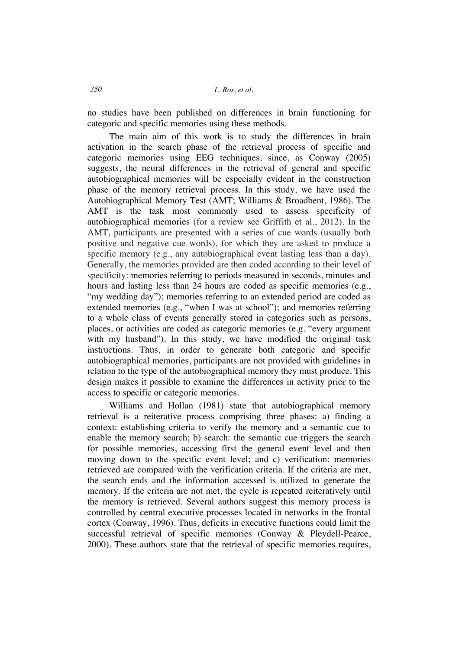no studies have been published on differences in brain functioning for categoric and specific memories using these methods.

The main aim of this work is to study the differences in brain activation in the search phase of the retrieval process of specific and categoric memories using EEG techniques, since, as Conway (2005) suggests, the neural differences in the retrieval of general and specific autobiographical memories will be especially evident in the construction phase of the memory retrieval process. In this study, we have used the Autobiographical Memory Test (AMT; Williams & Broadbent, 1986). The AMT is the task most commonly used to assess specificity of autobiographical memories (for a review see Griffith et al., 2012). In the AMT, participants are presented with a series of cue words (usually both positive and negative cue words), for which they are asked to produce a specific memory (e.g., any autobiographical event lasting less than a day). Generally, the memories provided are then coded according to their level of specificity: memories referring to periods measured in seconds, minutes and hours and lasting less than 24 hours are coded as specific memories (e.g., "my wedding day"); memories referring to an extended period are coded as extended memories (e.g., "when I was at school"); and memories referring to a whole class of events generally stored in categories such as persons, places, or activities are coded as categoric memories (e.g. "every argument with my husband"). In this study, we have modified the original task instructions. Thus, in order to generate both categoric and specific autobiographical memories, participants are not provided with guidelines in relation to the type of the autobiographical memory they must produce. This design makes it possible to examine the differences in activity prior to the access to specific or categoric memories.

Williams and Hollan (1981) state that autobiographical memory retrieval is a reiterative process comprising three phases: a) finding a context: establishing criteria to verify the memory and a semantic cue to enable the memory search; b) search: the semantic cue triggers the search for possible memories, accessing first the general event level and then moving down to the specific event level; and c) verification: memories retrieved are compared with the verification criteria. If the criteria are met, the search ends and the information accessed is utilized to generate the memory. If the criteria are not met, the cycle is repeated reiteratively until the memory is retrieved. Several authors suggest this memory process is controlled by central executive processes located in networks in the frontal cortex (Conway, 1996). Thus, deficits in executive functions could limit the successful retrieval of specific memories (Conway & Pleydell-Pearce, 2000). These authors state that the retrieval of specific memories requires,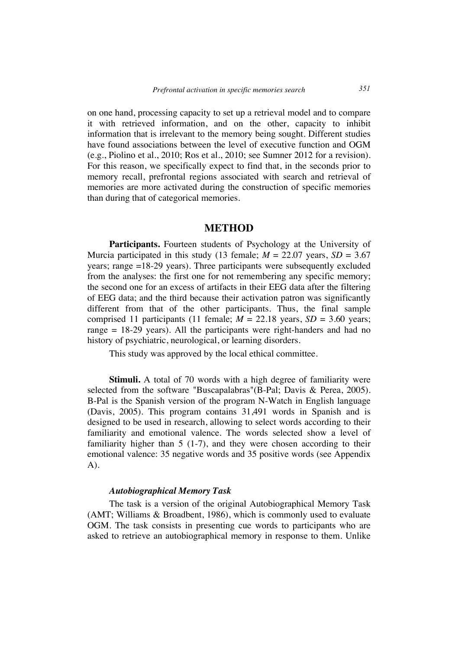on one hand, processing capacity to set up a retrieval model and to compare it with retrieved information, and on the other, capacity to inhibit information that is irrelevant to the memory being sought. Different studies have found associations between the level of executive function and OGM (e.g., Piolino et al., 2010; Ros et al., 2010; see Sumner 2012 for a revision). For this reason, we specifically expect to find that, in the seconds prior to memory recall, prefrontal regions associated with search and retrieval of memories are more activated during the construction of specific memories than during that of categorical memories.

### **METHOD**

Participants. Fourteen students of Psychology at the University of Murcia participated in this study (13 female;  $M = 22.07$  years,  $SD = 3.67$ years; range =18-29 years). Three participants were subsequently excluded from the analyses: the first one for not remembering any specific memory; the second one for an excess of artifacts in their EEG data after the filtering of EEG data; and the third because their activation patron was significantly different from that of the other participants. Thus, the final sample comprised 11 participants (11 female;  $M = 22.18$  years,  $SD = 3.60$  years; range = 18-29 years). All the participants were right-handers and had no history of psychiatric, neurological, or learning disorders.

This study was approved by the local ethical committee.

**Stimuli.** A total of 70 words with a high degree of familiarity were selected from the software "Buscapalabras"(B-Pal; Davis & Perea, 2005). B-Pal is the Spanish version of the program N-Watch in English language (Davis, 2005). This program contains 31,491 words in Spanish and is designed to be used in research, allowing to select words according to their familiarity and emotional valence. The words selected show a level of familiarity higher than 5 (1-7), and they were chosen according to their emotional valence: 35 negative words and 35 positive words (see Appendix A).

#### *Autobiographical Memory Task*

The task is a version of the original Autobiographical Memory Task (AMT; Williams & Broadbent, 1986), which is commonly used to evaluate OGM. The task consists in presenting cue words to participants who are asked to retrieve an autobiographical memory in response to them. Unlike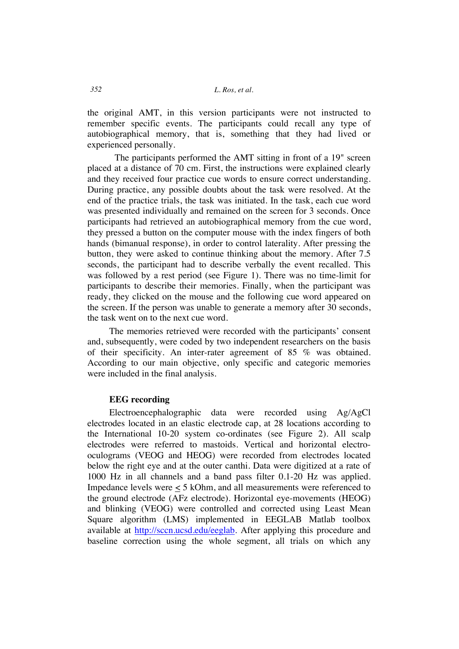the original AMT, in this version participants were not instructed to remember specific events. The participants could recall any type of autobiographical memory, that is, something that they had lived or experienced personally.

The participants performed the AMT sitting in front of a 19" screen placed at a distance of 70 cm. First, the instructions were explained clearly and they received four practice cue words to ensure correct understanding. During practice, any possible doubts about the task were resolved. At the end of the practice trials, the task was initiated. In the task, each cue word was presented individually and remained on the screen for 3 seconds. Once participants had retrieved an autobiographical memory from the cue word, they pressed a button on the computer mouse with the index fingers of both hands (bimanual response), in order to control laterality. After pressing the button, they were asked to continue thinking about the memory. After 7.5 seconds, the participant had to describe verbally the event recalled. This was followed by a rest period (see Figure 1). There was no time-limit for participants to describe their memories. Finally, when the participant was ready, they clicked on the mouse and the following cue word appeared on the screen. If the person was unable to generate a memory after 30 seconds, the task went on to the next cue word.

The memories retrieved were recorded with the participants' consent and, subsequently, were coded by two independent researchers on the basis of their specificity. An inter-rater agreement of 85 % was obtained. According to our main objective, only specific and categoric memories were included in the final analysis.

### **EEG recording**

Electroencephalographic data were recorded using Ag/AgCl electrodes located in an elastic electrode cap, at 28 locations according to the International 10-20 system co-ordinates (see Figure 2). All scalp electrodes were referred to mastoids. Vertical and horizontal electrooculograms (VEOG and HEOG) were recorded from electrodes located below the right eye and at the outer canthi. Data were digitized at a rate of 1000 Hz in all channels and a band pass filter 0.1-20 Hz was applied. Impedance levels were < 5 kOhm, and all measurements were referenced to the ground electrode (AFz electrode). Horizontal eye-movements (HEOG) and blinking (VEOG) were controlled and corrected using Least Mean Square algorithm (LMS) implemented in EEGLAB Matlab toolbox available at http://sccn.ucsd.edu/eeglab. After applying this procedure and baseline correction using the whole segment, all trials on which any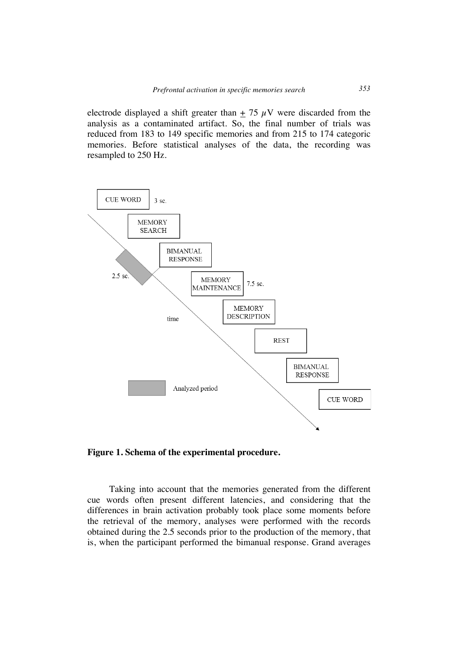electrode displayed a shift greater than  $+ 75 \mu$ V were discarded from the analysis as a contaminated artifact. So, the final number of trials was reduced from 183 to 149 specific memories and from 215 to 174 categoric memories. Before statistical analyses of the data, the recording was resampled to 250 Hz.



**Figure 1. Schema of the experimental procedure.**

Taking into account that the memories generated from the different cue words often present different latencies, and considering that the differences in brain activation probably took place some moments before the retrieval of the memory, analyses were performed with the records obtained during the 2.5 seconds prior to the production of the memory, that is, when the participant performed the bimanual response. Grand averages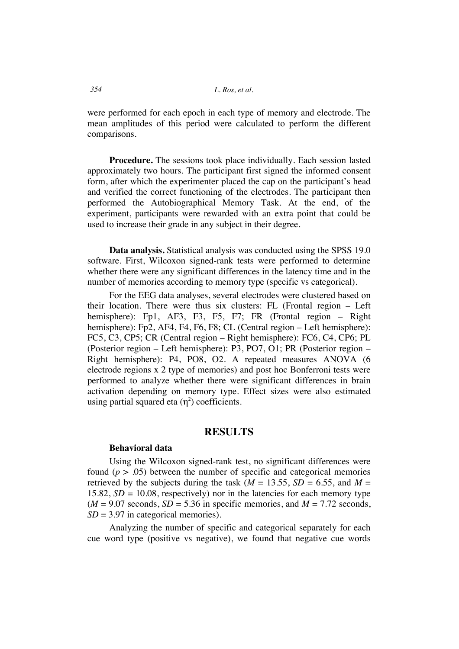were performed for each epoch in each type of memory and electrode. The mean amplitudes of this period were calculated to perform the different comparisons.

**Procedure.** The sessions took place individually. Each session lasted approximately two hours. The participant first signed the informed consent form, after which the experimenter placed the cap on the participant's head and verified the correct functioning of the electrodes. The participant then performed the Autobiographical Memory Task. At the end, of the experiment, participants were rewarded with an extra point that could be used to increase their grade in any subject in their degree.

**Data analysis.** Statistical analysis was conducted using the SPSS 19.0 software. First, Wilcoxon signed-rank tests were performed to determine whether there were any significant differences in the latency time and in the number of memories according to memory type (specific vs categorical).

For the EEG data analyses, several electrodes were clustered based on their location. There were thus six clusters: FL (Frontal region – Left hemisphere): Fp1, AF3, F3, F5, F7; FR (Frontal region – Right hemisphere): Fp2, AF4, F4, F6, F8; CL (Central region – Left hemisphere): FC5, C3, CP5; CR (Central region – Right hemisphere): FC6, C4, CP6; PL (Posterior region – Left hemisphere): P3, PO7, O1; PR (Posterior region – Right hemisphere): P4, PO8, O2. A repeated measures ANOVA (6 electrode regions x 2 type of memories) and post hoc Bonferroni tests were performed to analyze whether there were significant differences in brain activation depending on memory type. Effect sizes were also estimated using partial squared eta  $(\eta^2)$  coefficients.

### **RESULTS**

#### **Behavioral data**

Using the Wilcoxon signed-rank test, no significant differences were found  $(p > .05)$  between the number of specific and categorical memories retrieved by the subjects during the task ( $M = 13.55$ ,  $SD = 6.55$ , and  $M =$ 15.82,  $SD = 10.08$ , respectively) nor in the latencies for each memory type  $(M = 9.07$  seconds,  $SD = 5.36$  in specific memories, and  $M = 7.72$  seconds, *SD* = 3.97 in categorical memories).

Analyzing the number of specific and categorical separately for each cue word type (positive vs negative), we found that negative cue words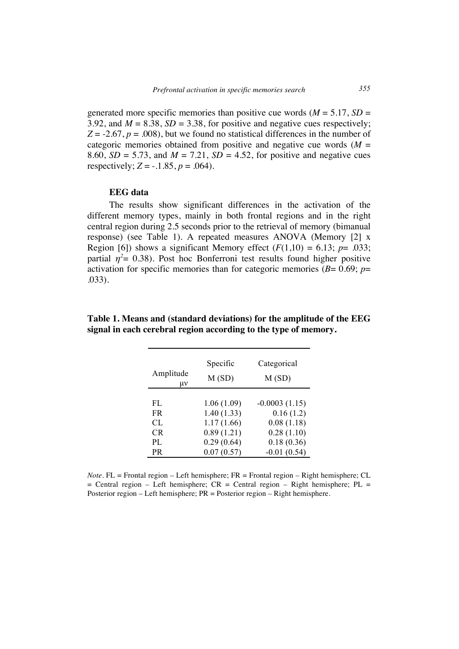generated more specific memories than positive cue words  $(M = 5.17, SD =$ 3.92, and  $M = 8.38$ ,  $SD = 3.38$ , for positive and negative cues respectively;  $Z = -2.67$ ,  $p = .008$ ), but we found no statistical differences in the number of categoric memories obtained from positive and negative cue words  $(M =$ 8.60,  $SD = 5.73$ , and  $M = 7.21$ ,  $SD = 4.52$ , for positive and negative cues respectively;  $Z = -0.1.85$ ,  $p = 0.064$ .

#### **EEG data**

The results show significant differences in the activation of the different memory types, mainly in both frontal regions and in the right central region during 2.5 seconds prior to the retrieval of memory (bimanual response) (see Table 1). A repeated measures ANOVA (Memory [2] x Region [6]) shows a significant Memory effect  $(F(1,10) = 6.13; p = .033;$ partial  $\eta^2$  = 0.38). Post hoc Bonferroni test results found higher positive activation for specific memories than for categoric memories ( $B= 0.69$ ;  $p=$ .033).

| Amplitude<br>μv | Specific<br>M(SD) | Categorical<br>M(SD) |
|-----------------|-------------------|----------------------|
|                 |                   |                      |
| FL              | 1.06(1.09)        | $-0.0003(1.15)$      |
| FR.             | 1.40(1.33)        | 0.16(1.2)            |
| CL              | 1.17(1.66)        | 0.08(1.18)           |
| <b>CR</b>       | 0.89(1.21)        | 0.28(1.10)           |
| PL              | 0.29(0.64)        | 0.18(0.36)           |
| PR              | 0.07(0.57)        | $-0.01(0.54)$        |

**Table 1. Means and (standard deviations) for the amplitude of the EEG signal in each cerebral region according to the type of memory.**

*Note*. FL = Frontal region – Left hemisphere; FR = Frontal region – Right hemisphere; CL  $=$  Central region – Left hemisphere; CR = Central region – Right hemisphere; PL = Posterior region – Left hemisphere; PR = Posterior region – Right hemisphere.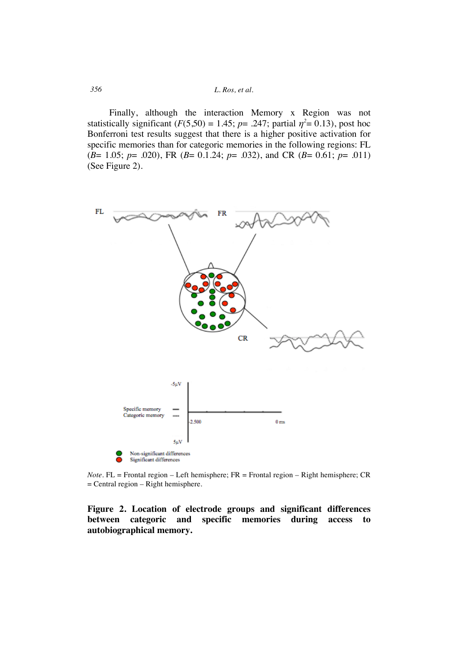*356 L. Ros, et al.*

Finally, although the interaction Memory x Region was not statistically significant  $(F(5,50) = 1.45; p = .247;$  partial  $\eta^2 = 0.13$ ), post hoc Bonferroni test results suggest that there is a higher positive activation for specific memories than for categoric memories in the following regions: FL (*B*= 1.05; *p*= .020), FR (*B*= 0.1.24; *p*= .032), and CR (*B*= 0.61; *p*= .011) (See Figure 2).



*Note*. FL = Frontal region – Left hemisphere; FR = Frontal region – Right hemisphere; CR = Central region – Right hemisphere.

# **Figure 2. Location of electrode groups and significant differences between categoric and specific memories during access to autobiographical memory.**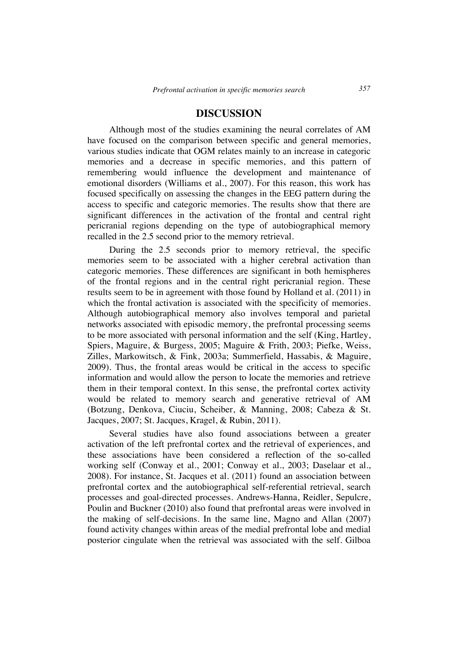# **DISCUSSION**

Although most of the studies examining the neural correlates of AM have focused on the comparison between specific and general memories, various studies indicate that OGM relates mainly to an increase in categoric memories and a decrease in specific memories, and this pattern of remembering would influence the development and maintenance of emotional disorders (Williams et al., 2007). For this reason, this work has focused specifically on assessing the changes in the EEG pattern during the access to specific and categoric memories. The results show that there are significant differences in the activation of the frontal and central right pericranial regions depending on the type of autobiographical memory recalled in the 2.5 second prior to the memory retrieval.

During the 2.5 seconds prior to memory retrieval, the specific memories seem to be associated with a higher cerebral activation than categoric memories. These differences are significant in both hemispheres of the frontal regions and in the central right pericranial region. These results seem to be in agreement with those found by Holland et al. (2011) in which the frontal activation is associated with the specificity of memories. Although autobiographical memory also involves temporal and parietal networks associated with episodic memory, the prefrontal processing seems to be more associated with personal information and the self (King, Hartley, Spiers, Maguire, & Burgess, 2005; Maguire & Frith, 2003; Piefke, Weiss, Zilles, Markowitsch, & Fink, 2003a; Summerfield, Hassabis, & Maguire, 2009). Thus, the frontal areas would be critical in the access to specific information and would allow the person to locate the memories and retrieve them in their temporal context. In this sense, the prefrontal cortex activity would be related to memory search and generative retrieval of AM (Botzung, Denkova, Ciuciu, Scheiber, & Manning, 2008; Cabeza & St. Jacques, 2007; St. Jacques, Kragel, & Rubin, 2011).

Several studies have also found associations between a greater activation of the left prefrontal cortex and the retrieval of experiences, and these associations have been considered a reflection of the so-called working self (Conway et al., 2001; Conway et al., 2003; Daselaar et al., 2008). For instance, St. Jacques et al. (2011) found an association between prefrontal cortex and the autobiographical self-referential retrieval, search processes and goal-directed processes. Andrews-Hanna, Reidler, Sepulcre, Poulin and Buckner (2010) also found that prefrontal areas were involved in the making of self-decisions. In the same line, Magno and Allan (2007) found activity changes within areas of the medial prefrontal lobe and medial posterior cingulate when the retrieval was associated with the self. Gilboa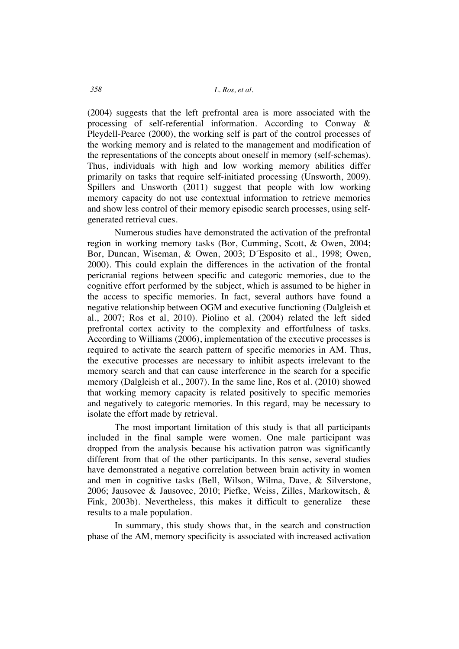(2004) suggests that the left prefrontal area is more associated with the processing of self-referential information. According to Conway & Pleydell-Pearce (2000), the working self is part of the control processes of the working memory and is related to the management and modification of the representations of the concepts about oneself in memory (self-schemas). Thus, individuals with high and low working memory abilities differ primarily on tasks that require self-initiated processing (Unsworth, 2009). Spillers and Unsworth (2011) suggest that people with low working memory capacity do not use contextual information to retrieve memories and show less control of their memory episodic search processes, using selfgenerated retrieval cues.

Numerous studies have demonstrated the activation of the prefrontal region in working memory tasks (Bor, Cumming, Scott, & Owen, 2004; Bor, Duncan, Wiseman, & Owen, 2003; D´Esposito et al., 1998; Owen, 2000). This could explain the differences in the activation of the frontal pericranial regions between specific and categoric memories, due to the cognitive effort performed by the subject, which is assumed to be higher in the access to specific memories. In fact, several authors have found a negative relationship between OGM and executive functioning (Dalgleish et al., 2007; Ros et al, 2010). Piolino et al. (2004) related the left sided prefrontal cortex activity to the complexity and effortfulness of tasks. According to Williams (2006), implementation of the executive processes is required to activate the search pattern of specific memories in AM. Thus, the executive processes are necessary to inhibit aspects irrelevant to the memory search and that can cause interference in the search for a specific memory (Dalgleish et al., 2007). In the same line, Ros et al. (2010) showed that working memory capacity is related positively to specific memories and negatively to categoric memories. In this regard, may be necessary to isolate the effort made by retrieval.

The most important limitation of this study is that all participants included in the final sample were women. One male participant was dropped from the analysis because his activation patron was significantly different from that of the other participants. In this sense, several studies have demonstrated a negative correlation between brain activity in women and men in cognitive tasks (Bell, Wilson, Wilma, Dave, & Silverstone, 2006; Jausovec & Jausovec, 2010; Piefke, Weiss, Zilles, Markowitsch, & Fink, 2003b). Nevertheless, this makes it difficult to generalize these results to a male population.

In summary, this study shows that, in the search and construction phase of the AM, memory specificity is associated with increased activation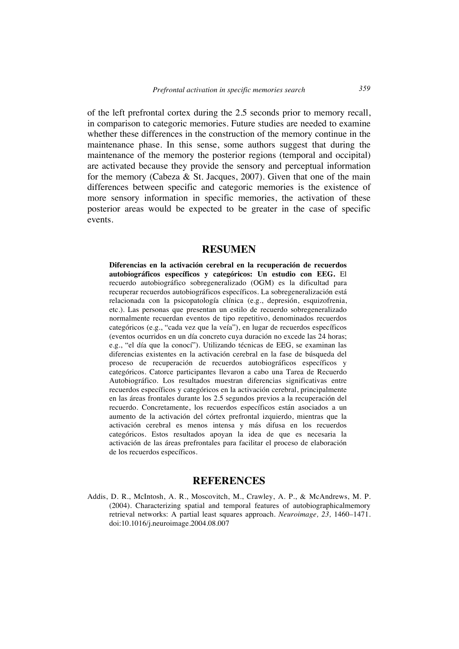of the left prefrontal cortex during the 2.5 seconds prior to memory recall, in comparison to categoric memories. Future studies are needed to examine whether these differences in the construction of the memory continue in the maintenance phase. In this sense, some authors suggest that during the maintenance of the memory the posterior regions (temporal and occipital) are activated because they provide the sensory and perceptual information for the memory (Cabeza & St. Jacques, 2007). Given that one of the main differences between specific and categoric memories is the existence of more sensory information in specific memories, the activation of these posterior areas would be expected to be greater in the case of specific events.

# **RESUMEN**

**Diferencias en la activación cerebral en la recuperación de recuerdos autobiográficos específicos y categóricos: Un estudio con EEG.** El recuerdo autobiográfico sobregeneralizado (OGM) es la dificultad para recuperar recuerdos autobiográficos específicos. La sobregeneralización está relacionada con la psicopatología clínica (e.g., depresión, esquizofrenia, etc.). Las personas que presentan un estilo de recuerdo sobregeneralizado normalmente recuerdan eventos de tipo repetitivo, denominados recuerdos categóricos (e.g., "cada vez que la veía"), en lugar de recuerdos específicos (eventos ocurridos en un día concreto cuya duración no excede las 24 horas; e.g., "el día que la conocí"). Utilizando técnicas de EEG, se examinan las diferencias existentes en la activación cerebral en la fase de búsqueda del proceso de recuperación de recuerdos autobiográficos específicos y categóricos. Catorce participantes llevaron a cabo una Tarea de Recuerdo Autobiográfico. Los resultados muestran diferencias significativas entre recuerdos específicos y categóricos en la activación cerebral, principalmente en las áreas frontales durante los 2.5 segundos previos a la recuperación del recuerdo. Concretamente, los recuerdos específicos están asociados a un aumento de la activación del córtex prefrontal izquierdo, mientras que la activación cerebral es menos intensa y más difusa en los recuerdos categóricos. Estos resultados apoyan la idea de que es necesaria la activación de las áreas prefrontales para facilitar el proceso de elaboración de los recuerdos específicos.

## **REFERENCES**

Addis, D. R., McIntosh, A. R., Moscovitch, M., Crawley, A. P., & McAndrews, M. P. (2004). Characterizing spatial and temporal features of autobiographicalmemory retrieval networks: A partial least squares approach. *Neuroimage, 23,* 1460–1471. doi:10.1016/j.neuroimage.2004.08.007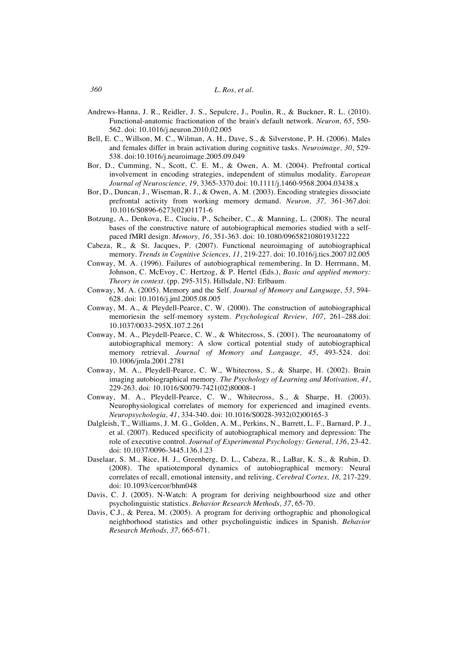- Andrews-Hanna, J. R., Reidler, J. S., Sepulcre, J., Poulin, R., & Buckner, R. L. (2010). Functional-anatomic fractionation of the brain's default network. *Neuron, 65*, 550- 562. doi: 10.1016/j.neuron.2010.02.005
- Bell, E. C., Willson, M. C., Wilman, A. H., Dave, S., & Silverstone, P. H. (2006). Males and females differ in brain activation during cognitive tasks. *Neuroimage, 30*, 529- 538. doi:10.1016/j.neuroimage.2005.09.049
- Bor, D., Cumming, N., Scott, C. E. M., & Owen, A. M. (2004). Prefrontal cortical involvement in encoding strategies, independent of stimulus modality. *European Journal of Neuroscience, 19,* 3365-3370.doi: 10.1111/j.1460-9568.2004.03438.x
- Bor, D., Duncan, J., Wiseman, R. J., & Owen, A. M. (2003). Encoding strategies dissociate prefrontal activity from working memory demand. *Neuron, 37,* 361-367.doi: 10.1016/S0896-6273(02)01171-6
- Botzung, A., Denkova, E., Ciuciu, P., Scheiber, C., & Manning, L. (2008). The neural bases of the constructive nature of autobiographical memories studied with a selfpaced fMRI design. *Memory, 16*, 351-363. doi: 10.1080/09658210801931222
- Cabeza, R., & St. Jacques, P. (2007). Functional neuroimaging of autobiographical memory. *Trends in Cognitive Sciences, 11*, 219-227. doi: 10.1016/j.tics.2007.02.005
- Conway, M. A. (1996). Failures of autobiographical remembering. In D. Herrmann, M. Johnson, C. McEvoy, C. Hertzog, & P. Hertel (Eds.), *Basic and applied memory: Theory in context*. (pp. 295-315). Hillsdale, NJ: Erlbaum.
- Conway, M. A. (2005). Memory and the Self. *Journal of Memory and Language, 53*, 594- 628. doi: 10.1016/j.jml.2005.08.005
- Conway, M. A., & Pleydell-Pearce, C. W. (2000). The construction of autobiographical memoriesin the self-memory system. *Psychological Review, 107*, 261–288.doi: 10.1037/0033-295X.107.2.261
- Conway, M. A., Pleydell-Pearce, C. W., & Whitecross, S. (2001). The neuroanatomy of autobiographical memory: A slow cortical potential study of autobiographical memory retrieval. *Journal of Memory and Language, 45*, 493-524. doi: 10.1006/jmla.2001.2781
- Conway, M. A., Pleydell-Pearce, C. W., Whitecross, S., & Sharpe, H. (2002). Brain imaging autobiographical memory. *The Psychology of Learning and Motivation, 41*, 229-263. doi: 10.1016/S0079-7421(02)80008-1
- Conway, M. A., Pleydell-Pearce, C. W., Whitecross, S., & Sharpe, H. (2003). Neurophysiological correlates of memory for experienced and imagined events. *Neuropsychologia, 41*, 334-340. doi: 10.1016/S0028-3932(02)00165-3
- Dalgleish, T., Williams, J. M. G., Golden, A. M., Perkins, N., Barrett, L. F., Barnard, P. J., et al. (2007). Reduced specificity of autobiographical memory and depression: The role of executive control. *Journal of Experimental Psychology: General, 136*, 23-42. doi: 10.1037/0096-3445.136.1.23
- Daselaar, S. M., Rice, H. J., Greenberg, D. L., Cabeza, R., LaBar, K. S., & Rubin, D. (2008). The spatiotemporal dynamics of autobiographical memory: Neural correlates of recall, emotional intensity, and reliving. *Cerebral Cortex, 18,* 217-229. doi: 10.1093/cercor/bhm048
- Davis, C. J. (2005). N-Watch: A program for deriving neighbourhood size and other psycholinguistic statistics. *Behavior Research Methods, 37*, 65-70.
- Davis, C.J., & Perea, M. (2005). A program for deriving orthographic and phonological neighborhood statistics and other psycholinguistic indices in Spanish. *Behavior Research Methods, 37,* 665-671.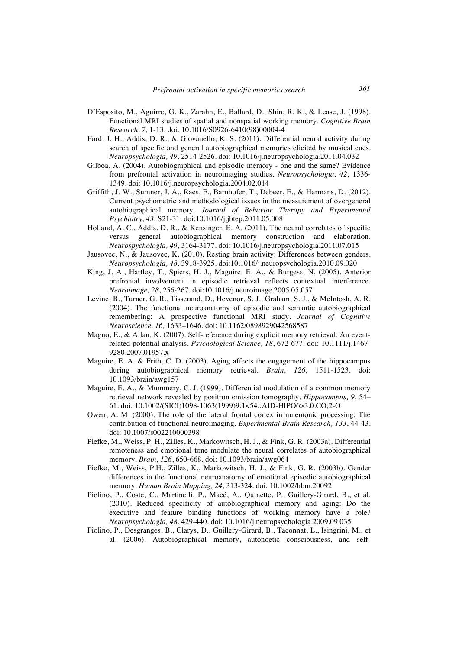- D´Esposito, M., Aguirre, G. K., Zarahn, E., Ballard, D., Shin, R. K., & Lease, J. (1998). Functional MRI studies of spatial and nonspatial working memory. *Cognitive Brain Research, 7,* 1-13. doi: 10.1016/S0926-6410(98)00004-4
- Ford, J. H., Addis, D. R., & Giovanello, K. S. (2011). Differential neural activity during search of specific and general autobiographical memories elicited by musical cues. *Neuropsychologia, 49,* 2514-2526. doi: 10.1016/j.neuropsychologia.2011.04.032
- Gilboa, A. (2004). Autobiographical and episodic memory one and the same? Evidence from prefrontal activation in neuroimaging studies. *Neuropsychologia, 42*, 1336- 1349. doi: 10.1016/j.neuropsychologia.2004.02.014
- Griffith, J. W., Sumner, J. A., Raes, F., Barnhofer, T., Debeer, E., & Hermans, D. (2012). Current psychometric and methodological issues in the measurement of overgeneral autobiographical memory. *Journal of Behavior Therapy and Experimental Psychiatry, 43,* S21-31. doi:10.1016/j.jbtep.2011.05.008
- Holland, A. C., Addis, D. R., & Kensinger, E. A. (2011). The neural correlates of specific versus general autobiographical memory construction and elaboration. *Neurospychologia, 49*, 3164-3177. doi: 10.1016/j.neuropsychologia.2011.07.015
- Jausovec, N., & Jausovec, K. (2010). Resting brain activity: Differences between genders. *Neuropsychologia, 48,* 3918-3925. doi:10.1016/j.neuropsychologia.2010.09.020
- King, J. A., Hartley, T., Spiers, H. J., Maguire, E. A., & Burgess, N. (2005). Anterior prefrontal involvement in episodic retrieval reflects contextual interference. *Neuroimage, 28*, 256-267. doi:10.1016/j.neuroimage.2005.05.057
- Levine, B., Turner, G. R., Tisserand, D., Hevenor, S. J., Graham, S. J., & McIntosh, A. R. (2004). The functional neuroanatomy of episodic and semantic autobiographical remembering: A prospective functional MRI study. *Journal of Cognitive Neuroscience, 16,* 1633–1646. doi: 10.1162/0898929042568587
- Magno, E., & Allan, K. (2007). Self-reference during explicit memory retrieval: An eventrelated potential analysis. *Psychological Science, 18*, 672-677. doi: 10.1111/j.1467- 9280.2007.01957.x
- Maguire, E. A. & Frith, C. D. (2003). Aging affects the engagement of the hippocampus during autobiographical memory retrieval. *Brain, 126*, 1511-1523. doi: 10.1093/brain/awg157
- Maguire, E. A., & Mummery, C. J. (1999). Differential modulation of a common memory retrieval network revealed by positron emission tomography. *Hippocampus, 9,* 54– 61. doi: 10.1002/(SICI)1098-1063(1999)9:1<54::AID-HIPO6>3.0.CO;2-O
- Owen, A. M. (2000). The role of the lateral frontal cortex in mnemonic processing: The contribution of functional neuroimaging. *Experimental Brain Research, 133*, 44-43. doi: 10.1007/s002210000398
- Piefke, M., Weiss, P. H., Zilles, K., Markowitsch, H. J., & Fink, G. R. (2003a). Differential remoteness and emotional tone modulate the neural correlates of autobiographical memory. *Brain, 126*, 650-668. doi: 10.1093/brain/awg064
- Piefke, M., Weiss, P.H., Zilles, K., Markowitsch, H. J., & Fink, G. R. (2003b). Gender differences in the functional neuroanatomy of emotional episodic autobiographical memory. *Human Brain Mapping, 24*, 313-324. doi: 10.1002/hbm.20092
- Piolino, P., Coste, C., Martinelli, P., Macé, A., Quinette, P., Guillery-Girard, B., et al. (2010). Reduced specificity of autobiographical memory and aging: Do the executive and feature binding functions of working memory have a role? *Neuropsychologia, 48,* 429-440. doi: 10.1016/j.neuropsychologia.2009.09.035
- Piolino, P., Desgranges, B., Clarys, D., Guillery-Girard, B., Taconnat, L., Isingrini, M., et al. (2006). Autobiographical memory, autonoetic consciousness, and self-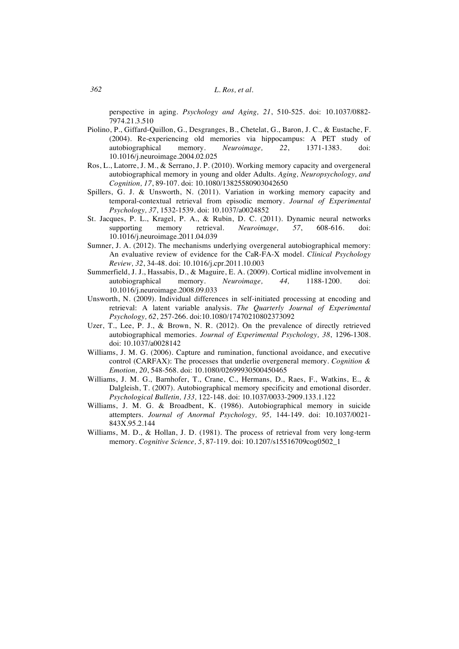perspective in aging. *Psychology and Aging, 21*, 510-525. doi: 10.1037/0882- 7974.21.3.510

- Piolino, P., Giffard-Quillon, G., Desgranges, B., Chetelat, G., Baron, J. C., & Eustache, F. (2004). Re-experiencing old memories via hippocampus: A PET study of autobiographical memory. *Neuroimage, 22*, 1371-1383. doi: 10.1016/j.neuroimage.2004.02.025
- Ros, L., Latorre, J. M., & Serrano, J. P. (2010). Working memory capacity and overgeneral autobiographical memory in young and older Adults. *Aging, Neuropsychology, and Cognition, 17*, 89-107. doi: 10.1080/13825580903042650
- Spillers, G. J. & Unsworth, N. (2011). Variation in working memory capacity and temporal-contextual retrieval from episodic memory. *Journal of Experimental Psychology, 37*, 1532-1539. doi: 10.1037/a0024852
- St. Jacques, P. L., Kragel, P. A., & Rubin, D. C. (2011). Dynamic neural networks supporting memory retrieval. *Neuroimage, 57*, 608-616. doi: 10.1016/j.neuroimage.2011.04.039
- Sumner, J. A. (2012). The mechanisms underlying overgeneral autobiographical memory: An evaluative review of evidence for the CaR-FA-X model. *Clinical Psychology Review, 32*, 34-48. doi: 10.1016/j.cpr.2011.10.003
- Summerfield, J. J., Hassabis, D., & Maguire, E. A. (2009). Cortical midline involvement in autobiographical memory. *Neuroimage, 44,* 1188-1200. doi: 10.1016/j.neuroimage.2008.09.033
- Unsworth, N. (2009). Individual differences in self-initiated processing at encoding and retrieval: A latent variable analysis. *The Quarterly Journal of Experimental Psychology, 62*, 257-266. doi:10.1080/17470210802373092
- Uzer, T., Lee, P. J., & Brown, N. R. (2012). On the prevalence of directly retrieved autobiographical memories. *Journal of Experimental Psychology, 38*, 1296-1308. doi: 10.1037/a0028142
- Williams, J. M. G. (2006). Capture and rumination, functional avoidance, and executive control (CARFAX): The processes that underlie overgeneral memory. *Cognition & Emotion, 20*, 548-568. doi: 10.1080/02699930500450465
- Williams, J. M. G., Barnhofer, T., Crane, C., Hermans, D., Raes, F., Watkins, E., & Dalgleish, T. (2007). Autobiographical memory specificity and emotional disorder. *Psychological Bulletin, 133,* 122-148. doi: 10.1037/0033-2909.133.1.122
- Williams, J. M. G. & Broadbent, K. (1986). Autobiographical memory in suicide attempters. *Journal of Anormal Psychology, 95,* 144-149. doi: 10.1037/0021- 843X.95.2.144
- Williams, M. D., & Hollan, J. D. (1981). The process of retrieval from very long-term memory. *Cognitive Science, 5*, 87-119. doi: 10.1207/s15516709cog0502\_1